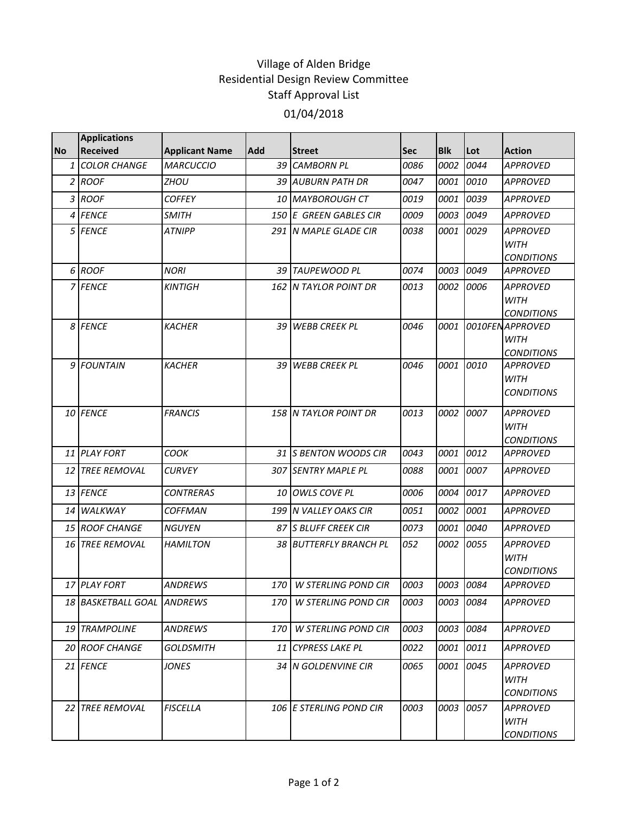## Village of Alden Bridge Residential Design Review Committee Staff Approval List 01/04/2018

|              | <b>Applications</b>        |                       |            |                            |      |            |           |                                                      |
|--------------|----------------------------|-----------------------|------------|----------------------------|------|------------|-----------|------------------------------------------------------|
| <b>No</b>    | <b>Received</b>            | <b>Applicant Name</b> | <b>Add</b> | <b>Street</b>              | Sec  | <b>Blk</b> | Lot       | <b>Action</b>                                        |
| $\mathbf{1}$ | <b>COLOR CHANGE</b>        | <b>MARCUCCIO</b>      |            | 39 CAMBORN PL              | 0086 | 0002       | 0044      | <b>APPROVED</b>                                      |
|              | 2 ROOF                     | ZHOU                  |            | 39 AUBURN PATH DR          | 0047 | 0001       | 0010      | <b>APPROVED</b>                                      |
|              | 3 ROOF                     | <b>COFFEY</b>         |            | 10 MAYBOROUGH CT           | 0019 | 0001       | 0039      | <b>APPROVED</b>                                      |
|              | 4 FENCE                    | <b>SMITH</b>          |            | 150 E GREEN GABLES CIR     | 0009 | 0003       | 0049      | <b>APPROVED</b>                                      |
|              | 5 FENCE                    | <b>ATNIPP</b>         |            | 291 N MAPLE GLADE CIR      | 0038 | 0001       | 0029      | <b>APPROVED</b><br>WITH<br><b>CONDITIONS</b>         |
|              | 6 ROOF                     | <b>NORI</b>           |            | 39 TAUPEWOOD PL            | 0074 | 0003       | 0049      | <b>APPROVED</b>                                      |
|              | 7 FENCE                    | <b>KINTIGH</b>        |            | 162 N TAYLOR POINT DR      | 0013 |            | 0002 0006 | <b>APPROVED</b><br><b>WITH</b><br><b>CONDITIONS</b>  |
|              | 8 FENCE                    | <b>KACHER</b>         | 39 I       | <b>WEBB CREEK PL</b>       | 0046 | 0001       |           | 0010FEN APPROVED<br><b>WITH</b><br><b>CONDITIONS</b> |
|              | 9 FOUNTAIN                 | <b>KACHER</b>         |            | 39 WEBB CREEK PL           | 0046 | 0001       | 0010      | <b>APPROVED</b><br><b>WITH</b><br><b>CONDITIONS</b>  |
|              | 10 FENCE                   | <b>FRANCIS</b>        |            | 158 N TAYLOR POINT DR      | 0013 |            | 0002 0007 | <b>APPROVED</b><br><b>WITH</b><br><b>CONDITIONS</b>  |
|              | 11 PLAY FORT               | COOK                  |            | 31 S BENTON WOODS CIR      | 0043 | 0001       | 0012      | <b>APPROVED</b>                                      |
|              | <b>12 TREE REMOVAL</b>     | <b>CURVEY</b>         |            | 307 SENTRY MAPLE PL        | 0088 | 0001       | 0007      | <b>APPROVED</b>                                      |
|              | 13 FENCE                   | <b>CONTRERAS</b>      |            | 10 OWLS COVE PL            | 0006 | 0004       | 0017      | <b>APPROVED</b>                                      |
|              | 14 WALKWAY                 | <b>COFFMAN</b>        |            | 199 N VALLEY OAKS CIR      | 0051 | 0002       | 0001      | <b>APPROVED</b>                                      |
|              | 15 ROOF CHANGE             | <b>NGUYEN</b>         |            | 87 IS BLUFF CREEK CIR      | 0073 | 0001       | 0040      | <b>APPROVED</b>                                      |
|              | <b>16 TREE REMOVAL</b>     | <b>HAMILTON</b>       |            | 38 BUTTERFLY BRANCH PL     | 052  |            | 0002 0055 | <b>APPROVED</b><br><b>WITH</b><br><b>CONDITIONS</b>  |
|              | 17 PLAY FORT               | <b>ANDREWS</b>        | 170        | <b>W STERLING POND CIR</b> | 0003 |            | 0003 0084 | <b>APPROVED</b>                                      |
|              | 18 BASKETBALL GOAL ANDREWS |                       | 170        | W STERLING POND CIR        | 0003 |            | 0003 0084 | <b>APPROVED</b>                                      |
|              | 19 TRAMPOLINE              | ANDREWS               | 170        | <b>W STERLING POND CIR</b> | 0003 |            | 0003 0084 | <b>APPROVED</b>                                      |
|              | 20 ROOF CHANGE             | <b>GOLDSMITH</b>      |            | 11 CYPRESS LAKE PL         | 0022 |            | 0001 0011 | <b>APPROVED</b>                                      |
|              | 21 FENCE                   | JONES                 |            | 34 IN GOLDENVINE CIR       | 0065 |            | 0001 0045 | <b>APPROVED</b><br><b>WITH</b><br><b>CONDITIONS</b>  |
| 22 I         | <b>TREE REMOVAL</b>        | <b>FISCELLA</b>       |            | 106 E STERLING POND CIR    | 0003 | 0003       | 0057      | <b>APPROVED</b><br><b>WITH</b><br><b>CONDITIONS</b>  |